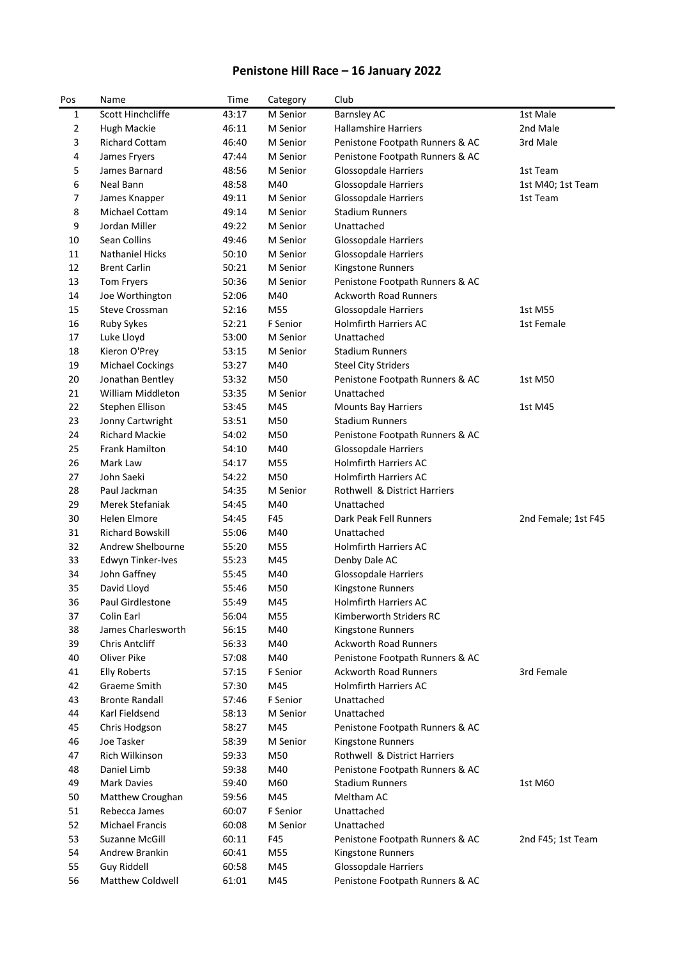## **Penistone Hill Race – 16 January 2022**

| Pos      | Name                                    | Time           | Category        | Club                                                      |                     |
|----------|-----------------------------------------|----------------|-----------------|-----------------------------------------------------------|---------------------|
| 1        | Scott Hinchcliffe                       | 43:17          | M Senior        | <b>Barnsley AC</b>                                        | 1st Male            |
| 2        | Hugh Mackie                             | 46:11          | M Senior        | <b>Hallamshire Harriers</b>                               | 2nd Male            |
| 3        | <b>Richard Cottam</b>                   | 46:40          | M Senior        | Penistone Footpath Runners & AC                           | 3rd Male            |
| 4        | James Fryers                            | 47:44          | M Senior        | Penistone Footpath Runners & AC                           |                     |
| 5        | James Barnard                           | 48:56          | M Senior        | Glossopdale Harriers                                      | 1st Team            |
| 6        | Neal Bann                               | 48:58          | M40             | Glossopdale Harriers                                      | 1st M40; 1st Team   |
| 7        | James Knapper                           | 49:11          | M Senior        | Glossopdale Harriers                                      | 1st Team            |
| 8        | Michael Cottam                          | 49:14          | M Senior        | <b>Stadium Runners</b>                                    |                     |
| 9        | Jordan Miller                           | 49:22          | M Senior        | Unattached                                                |                     |
| 10       | Sean Collins                            | 49:46          | M Senior        | Glossopdale Harriers                                      |                     |
| 11       | <b>Nathaniel Hicks</b>                  | 50:10          | M Senior        | Glossopdale Harriers                                      |                     |
| 12       | <b>Brent Carlin</b>                     | 50:21          | M Senior        | Kingstone Runners                                         |                     |
| 13       | Tom Fryers                              | 50:36          | M Senior        | Penistone Footpath Runners & AC                           |                     |
| 14       | Joe Worthington                         | 52:06          | M40             | <b>Ackworth Road Runners</b>                              |                     |
| 15       | <b>Steve Crossman</b>                   | 52:16          | M55             | Glossopdale Harriers                                      | 1st M55             |
| 16       | Ruby Sykes                              | 52:21          | F Senior        | <b>Holmfirth Harriers AC</b>                              | 1st Female          |
| 17       | Luke Lloyd                              | 53:00          | M Senior        | Unattached                                                |                     |
| 18       | Kieron O'Prey                           | 53:15          | M Senior        | <b>Stadium Runners</b>                                    |                     |
| 19       | <b>Michael Cockings</b>                 | 53:27          | M40             | <b>Steel City Striders</b>                                |                     |
| 20       | Jonathan Bentley                        | 53:32          | M50             | Penistone Footpath Runners & AC                           | 1st M50             |
| 21       | William Middleton                       | 53:35          | M Senior        | Unattached                                                |                     |
| 22       | Stephen Ellison                         | 53:45          | M45             | <b>Mounts Bay Harriers</b>                                | 1st M45             |
| 23       | Jonny Cartwright                        | 53:51          | M50             | <b>Stadium Runners</b>                                    |                     |
| 24       | <b>Richard Mackie</b>                   | 54:02          | M50             | Penistone Footpath Runners & AC                           |                     |
| 25       | Frank Hamilton                          | 54:10          | M40             | Glossopdale Harriers                                      |                     |
| 26       | Mark Law                                | 54:17          | M55             | <b>Holmfirth Harriers AC</b>                              |                     |
| 27       | John Saeki                              | 54:22          | M50             | <b>Holmfirth Harriers AC</b>                              |                     |
| 28       | Paul Jackman                            | 54:35          | M Senior        | Rothwell & District Harriers                              |                     |
| 29       | Merek Stefaniak                         | 54:45          | M40             | Unattached                                                |                     |
| 30       | Helen Elmore                            | 54:45          | F45             | Dark Peak Fell Runners                                    | 2nd Female; 1st F45 |
| 31       | <b>Richard Bowskill</b>                 | 55:06          | M40             | Unattached                                                |                     |
| 32       | Andrew Shelbourne                       | 55:20          | M55             | <b>Holmfirth Harriers AC</b>                              |                     |
| 33       | Edwyn Tinker-Ives                       | 55:23          | M45             | Denby Dale AC                                             |                     |
| 34       | John Gaffney                            | 55:45          | M40             | Glossopdale Harriers                                      |                     |
| 35       | David Lloyd                             | 55:46          | M50             | Kingstone Runners                                         |                     |
| 36       | Paul Girdlestone                        | 55:49          | M45             | Holmfirth Harriers AC                                     |                     |
| 37       | Colin Earl                              | 56:04          | M55             | Kimberworth Striders RC                                   |                     |
| 38       | James Charlesworth                      | 56:15          | M40             | Kingstone Runners                                         |                     |
| 39       | <b>Chris Antcliff</b>                   | 56:33          | M40             | <b>Ackworth Road Runners</b>                              |                     |
| 40       | Oliver Pike                             | 57:08          | M40             | Penistone Footpath Runners & AC                           |                     |
| 41       | <b>Elly Roberts</b>                     | 57:15          | F Senior        | <b>Ackworth Road Runners</b>                              | 3rd Female          |
| 42       | Graeme Smith                            | 57:30          | M45             | Holmfirth Harriers AC                                     |                     |
| 43       | <b>Bronte Randall</b><br>Karl Fieldsend | 57:46          | F Senior        | Unattached                                                |                     |
| 44       |                                         | 58:13          | M Senior        | Unattached                                                |                     |
| 45       | Chris Hodgson<br>Joe Tasker             | 58:27          | M45<br>M Senior | Penistone Footpath Runners & AC                           |                     |
| 46       | Rich Wilkinson                          | 58:39          |                 | Kingstone Runners<br>Rothwell & District Harriers         |                     |
| 47       |                                         | 59:33          | M50             |                                                           |                     |
| 48       | Daniel Limb<br>Mark Davies              | 59:38          | M40             | Penistone Footpath Runners & AC<br><b>Stadium Runners</b> |                     |
| 49       |                                         | 59:40          | M60             | Meltham AC                                                | 1st M60             |
| 50<br>51 | Matthew Croughan<br>Rebecca James       | 59:56<br>60:07 | M45<br>F Senior | Unattached                                                |                     |
| 52       | <b>Michael Francis</b>                  | 60:08          | M Senior        | Unattached                                                |                     |
| 53       | Suzanne McGill                          | 60:11          | F45             |                                                           |                     |
| 54       | Andrew Brankin                          | 60:41          | M55             | Penistone Footpath Runners & AC<br>Kingstone Runners      | 2nd F45; 1st Team   |
| 55       | Guy Riddell                             | 60:58          | M45             | Glossopdale Harriers                                      |                     |
| 56       | Matthew Coldwell                        | 61:01          | M45             | Penistone Footpath Runners & AC                           |                     |
|          |                                         |                |                 |                                                           |                     |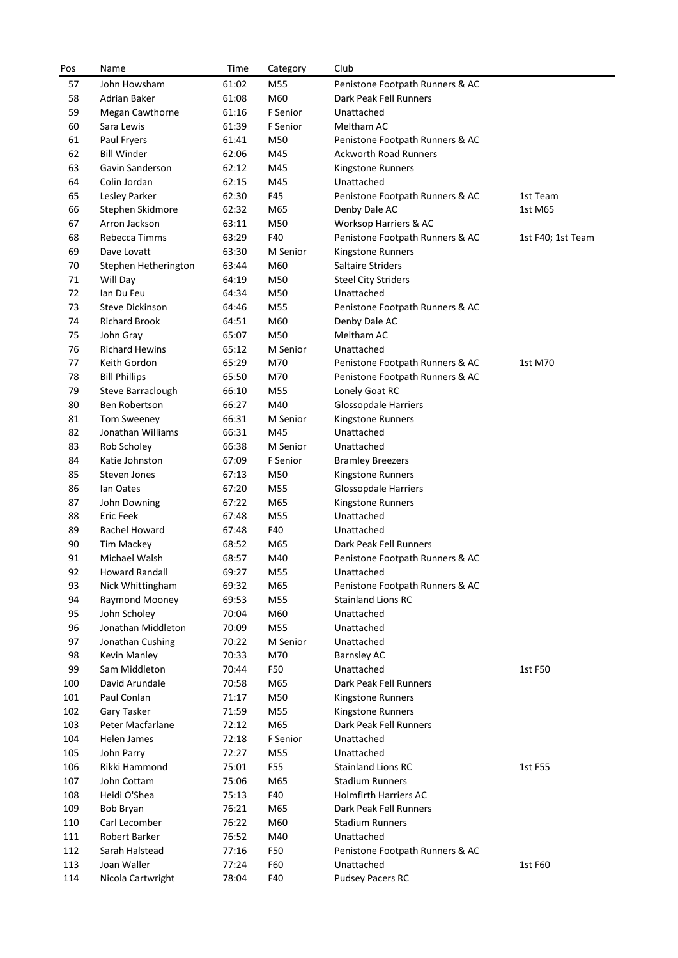| Pos | Name                   | Time  | Category | Club                            |                   |
|-----|------------------------|-------|----------|---------------------------------|-------------------|
| 57  | John Howsham           | 61:02 | M55      | Penistone Footpath Runners & AC |                   |
| 58  | <b>Adrian Baker</b>    | 61:08 | M60      | Dark Peak Fell Runners          |                   |
| 59  | <b>Megan Cawthorne</b> | 61:16 | F Senior | Unattached                      |                   |
| 60  | Sara Lewis             | 61:39 | F Senior | Meltham AC                      |                   |
| 61  | Paul Fryers            | 61:41 | M50      | Penistone Footpath Runners & AC |                   |
| 62  | <b>Bill Winder</b>     | 62:06 | M45      | <b>Ackworth Road Runners</b>    |                   |
| 63  | Gavin Sanderson        | 62:12 | M45      | Kingstone Runners               |                   |
| 64  | Colin Jordan           | 62:15 | M45      | Unattached                      |                   |
| 65  | Lesley Parker          | 62:30 | F45      | Penistone Footpath Runners & AC | 1st Team          |
| 66  | Stephen Skidmore       | 62:32 | M65      | Denby Dale AC                   | 1st M65           |
| 67  | Arron Jackson          | 63:11 | M50      | Worksop Harriers & AC           |                   |
| 68  | Rebecca Timms          | 63:29 | F40      | Penistone Footpath Runners & AC | 1st F40; 1st Team |
| 69  | Dave Lovatt            | 63:30 | M Senior | Kingstone Runners               |                   |
| 70  | Stephen Hetherington   | 63:44 | M60      | Saltaire Striders               |                   |
| 71  | Will Day               | 64:19 | M50      | <b>Steel City Striders</b>      |                   |
| 72  | Ian Du Feu             | 64:34 | M50      | Unattached                      |                   |
| 73  | Steve Dickinson        | 64:46 | M55      | Penistone Footpath Runners & AC |                   |
| 74  | <b>Richard Brook</b>   | 64:51 | M60      | Denby Dale AC                   |                   |
| 75  | John Gray              | 65:07 | M50      | Meltham AC                      |                   |
| 76  | <b>Richard Hewins</b>  | 65:12 | M Senior | Unattached                      |                   |
| 77  | Keith Gordon           | 65:29 | M70      | Penistone Footpath Runners & AC | 1st M70           |
| 78  | <b>Bill Phillips</b>   | 65:50 | M70      | Penistone Footpath Runners & AC |                   |
| 79  | Steve Barraclough      | 66:10 | M55      | Lonely Goat RC                  |                   |
| 80  | Ben Robertson          | 66:27 | M40      | <b>Glossopdale Harriers</b>     |                   |
| 81  | Tom Sweeney            | 66:31 | M Senior | Kingstone Runners               |                   |
| 82  | Jonathan Williams      | 66:31 | M45      | Unattached                      |                   |
| 83  | Rob Scholey            | 66:38 | M Senior | Unattached                      |                   |
| 84  | Katie Johnston         | 67:09 | F Senior | <b>Bramley Breezers</b>         |                   |
| 85  | Steven Jones           | 67:13 | M50      | Kingstone Runners               |                   |
| 86  | lan Oates              | 67:20 | M55      | Glossopdale Harriers            |                   |
| 87  | John Downing           | 67:22 | M65      | Kingstone Runners               |                   |
| 88  | <b>Eric Feek</b>       | 67:48 | M55      | Unattached                      |                   |
| 89  | Rachel Howard          | 67:48 | F40      | Unattached                      |                   |
| 90  | <b>Tim Mackey</b>      | 68:52 | M65      | Dark Peak Fell Runners          |                   |
| 91  | Michael Walsh          | 68:57 | M40      | Penistone Footpath Runners & AC |                   |
| 92  | Howard Randall         | 69:27 | M55      | Unattached                      |                   |
| 93  | Nick Whittingham       | 69:32 | M65      | Penistone Footpath Runners & AC |                   |
| 94  | Raymond Mooney         | 69:53 | M55      | <b>Stainland Lions RC</b>       |                   |
| 95  | John Scholey           | 70:04 | M60      | Unattached                      |                   |
| 96  | Jonathan Middleton     | 70:09 | M55      | Unattached                      |                   |
| 97  | Jonathan Cushing       | 70:22 | M Senior | Unattached                      |                   |
| 98  | Kevin Manley           | 70:33 | M70      | <b>Barnsley AC</b>              |                   |
| 99  | Sam Middleton          | 70:44 | F50      | Unattached                      | 1st F50           |
| 100 | David Arundale         | 70:58 | M65      | Dark Peak Fell Runners          |                   |
| 101 | Paul Conlan            | 71:17 | M50      | Kingstone Runners               |                   |
| 102 | Gary Tasker            | 71:59 | M55      | Kingstone Runners               |                   |
| 103 | Peter Macfarlane       | 72:12 | M65      | Dark Peak Fell Runners          |                   |
| 104 | Helen James            | 72:18 | F Senior | Unattached                      |                   |
| 105 | John Parry             | 72:27 | M55      | Unattached                      |                   |
| 106 | Rikki Hammond          | 75:01 | F55      | <b>Stainland Lions RC</b>       | 1st F55           |
| 107 | John Cottam            | 75:06 | M65      | <b>Stadium Runners</b>          |                   |
| 108 | Heidi O'Shea           | 75:13 | F40      | <b>Holmfirth Harriers AC</b>    |                   |
| 109 | Bob Bryan              | 76:21 | M65      | Dark Peak Fell Runners          |                   |
| 110 | Carl Lecomber          | 76:22 | M60      | <b>Stadium Runners</b>          |                   |
| 111 | Robert Barker          | 76:52 | M40      | Unattached                      |                   |
| 112 | Sarah Halstead         | 77:16 | F50      | Penistone Footpath Runners & AC |                   |
| 113 | Joan Waller            | 77:24 | F60      | Unattached                      | 1st F60           |
| 114 | Nicola Cartwright      | 78:04 | F40      | Pudsey Pacers RC                |                   |
|     |                        |       |          |                                 |                   |